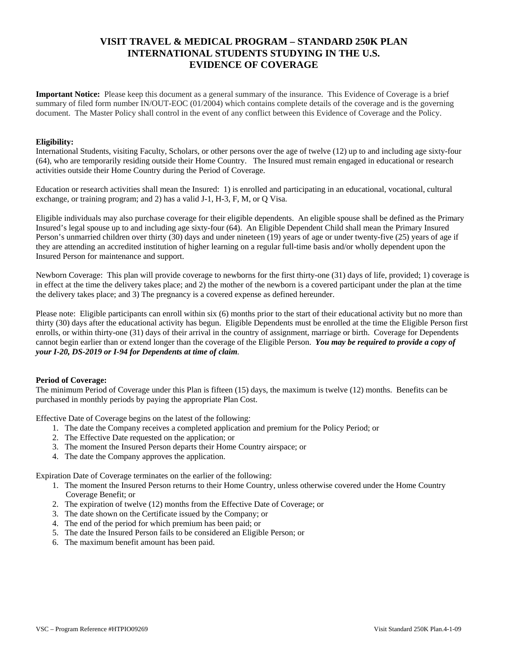# **VISIT TRAVEL & MEDICAL PROGRAM – STANDARD 250K PLAN INTERNATIONAL STUDENTS STUDYING IN THE U.S. EVIDENCE OF COVERAGE**

**Important Notice:** Please keep this document as a general summary of the insurance. This Evidence of Coverage is a brief summary of filed form number IN/OUT-EOC (01/2004) which contains complete details of the coverage and is the governing document. The Master Policy shall control in the event of any conflict between this Evidence of Coverage and the Policy.

### **Eligibility:**

International Students, visiting Faculty, Scholars, or other persons over the age of twelve (12) up to and including age sixty-four (64), who are temporarily residing outside their Home Country. The Insured must remain engaged in educational or research activities outside their Home Country during the Period of Coverage.

Education or research activities shall mean the Insured: 1) is enrolled and participating in an educational, vocational, cultural exchange, or training program; and 2) has a valid J-1, H-3, F, M, or Q Visa.

Eligible individuals may also purchase coverage for their eligible dependents. An eligible spouse shall be defined as the Primary Insured's legal spouse up to and including age sixty-four (64). An Eligible Dependent Child shall mean the Primary Insured Person's unmarried children over thirty (30) days and under nineteen (19) years of age or under twenty-five (25) years of age if they are attending an accredited institution of higher learning on a regular full-time basis and/or wholly dependent upon the Insured Person for maintenance and support.

Newborn Coverage: This plan will provide coverage to newborns for the first thirty-one (31) days of life, provided; 1) coverage is in effect at the time the delivery takes place; and 2) the mother of the newborn is a covered participant under the plan at the time the delivery takes place; and 3) The pregnancy is a covered expense as defined hereunder.

Please note: Eligible participants can enroll within six (6) months prior to the start of their educational activity but no more than thirty (30) days after the educational activity has begun. Eligible Dependents must be enrolled at the time the Eligible Person first enrolls, or within thirty-one (31) days of their arrival in the country of assignment, marriage or birth. Coverage for Dependents cannot begin earlier than or extend longer than the coverage of the Eligible Person. *You may be required to provide a copy of your I-20, DS-2019 or I-94 for Dependents at time of claim.*

## **Period of Coverage:**

The minimum Period of Coverage under this Plan is fifteen (15) days, the maximum is twelve (12) months. Benefits can be purchased in monthly periods by paying the appropriate Plan Cost.

Effective Date of Coverage begins on the latest of the following:

- 1. The date the Company receives a completed application and premium for the Policy Period; or
- 2. The Effective Date requested on the application; or
- 3. The moment the Insured Person departs their Home Country airspace; or
- 4. The date the Company approves the application.

Expiration Date of Coverage terminates on the earlier of the following:

- 1. The moment the Insured Person returns to their Home Country, unless otherwise covered under the Home Country Coverage Benefit; or
- 2. The expiration of twelve (12) months from the Effective Date of Coverage; or
- 3. The date shown on the Certificate issued by the Company; or
- 4. The end of the period for which premium has been paid; or
- 5. The date the Insured Person fails to be considered an Eligible Person; or
- 6. The maximum benefit amount has been paid.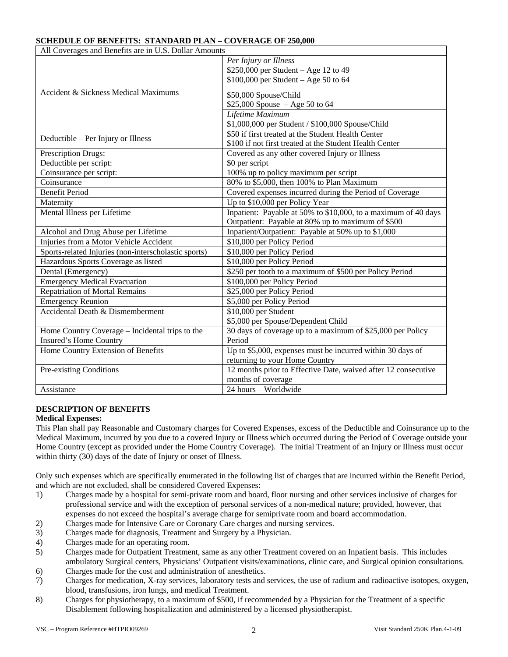## **SCHEDULE OF BENEFITS: STANDARD PLAN – COVERAGE OF 250,000**

| All Coverages and Benefits are in U.S. Dollar Amounts |                                                                |  |  |  |
|-------------------------------------------------------|----------------------------------------------------------------|--|--|--|
| Accident & Sickness Medical Maximums                  | Per Injury or Illness                                          |  |  |  |
|                                                       | \$250,000 per Student – Age 12 to 49                           |  |  |  |
|                                                       | $$100,000$ per Student - Age 50 to 64                          |  |  |  |
|                                                       | \$50,000 Spouse/Child                                          |  |  |  |
|                                                       | $$25,000$ Spouse $-Age 50$ to 64                               |  |  |  |
|                                                       | Lifetime Maximum                                               |  |  |  |
|                                                       | \$1,000,000 per Student / \$100,000 Spouse/Child               |  |  |  |
| Deductible – Per Injury or Illness                    | \$50 if first treated at the Student Health Center             |  |  |  |
|                                                       | \$100 if not first treated at the Student Health Center        |  |  |  |
| Prescription Drugs:                                   | Covered as any other covered Injury or Illness                 |  |  |  |
| Deductible per script:                                | \$0 per script                                                 |  |  |  |
| Coinsurance per script:                               | 100% up to policy maximum per script                           |  |  |  |
| Coinsurance                                           | 80% to \$5,000, then 100% to Plan Maximum                      |  |  |  |
| <b>Benefit Period</b>                                 | Covered expenses incurred during the Period of Coverage        |  |  |  |
| Maternity                                             | Up to \$10,000 per Policy Year                                 |  |  |  |
| Mental Illness per Lifetime                           | Inpatient: Payable at 50% to \$10,000, to a maximum of 40 days |  |  |  |
|                                                       | Outpatient: Payable at 80% up to maximum of \$500              |  |  |  |
| Alcohol and Drug Abuse per Lifetime                   | Inpatient/Outpatient: Payable at 50% up to \$1,000             |  |  |  |
| Injuries from a Motor Vehicle Accident                | \$10,000 per Policy Period                                     |  |  |  |
| Sports-related Injuries (non-interscholastic sports)  | \$10,000 per Policy Period                                     |  |  |  |
| Hazardous Sports Coverage as listed                   | \$10,000 per Policy Period                                     |  |  |  |
| Dental (Emergency)                                    | \$250 per tooth to a maximum of \$500 per Policy Period        |  |  |  |
| <b>Emergency Medical Evacuation</b>                   | \$100,000 per Policy Period                                    |  |  |  |
| <b>Repatriation of Mortal Remains</b>                 | \$25,000 per Policy Period                                     |  |  |  |
| <b>Emergency Reunion</b>                              | \$5,000 per Policy Period                                      |  |  |  |
| Accidental Death & Dismemberment                      | $\overline{$10,000}$ per Student                               |  |  |  |
|                                                       | \$5,000 per Spouse/Dependent Child                             |  |  |  |
| Home Country Coverage - Incidental trips to the       | 30 days of coverage up to a maximum of \$25,000 per Policy     |  |  |  |
| Insured's Home Country                                | Period                                                         |  |  |  |
| Home Country Extension of Benefits                    | Up to \$5,000, expenses must be incurred within 30 days of     |  |  |  |
|                                                       | returning to your Home Country                                 |  |  |  |
| Pre-existing Conditions                               | 12 months prior to Effective Date, waived after 12 consecutive |  |  |  |
|                                                       | months of coverage                                             |  |  |  |
| Assistance                                            | $24$ hours - Worldwide                                         |  |  |  |

## **DESCRIPTION OF BENEFITS**

## **Medical Expenses:**

This Plan shall pay Reasonable and Customary charges for Covered Expenses, excess of the Deductible and Coinsurance up to the Medical Maximum, incurred by you due to a covered Injury or Illness which occurred during the Period of Coverage outside your Home Country (except as provided under the Home Country Coverage). The initial Treatment of an Injury or Illness must occur within thirty (30) days of the date of Injury or onset of Illness.

Only such expenses which are specifically enumerated in the following list of charges that are incurred within the Benefit Period, and which are not excluded, shall be considered Covered Expenses:

- 1) Charges made by a hospital for semi-private room and board, floor nursing and other services inclusive of charges for professional service and with the exception of personal services of a non-medical nature; provided, however, that expenses do not exceed the hospital's average charge for semiprivate room and board accommodation.
- 2) Charges made for Intensive Care or Coronary Care charges and nursing services.
- 3) Charges made for diagnosis, Treatment and Surgery by a Physician.
- 4) Charges made for an operating room.
- 5) Charges made for Outpatient Treatment, same as any other Treatment covered on an Inpatient basis. This includes ambulatory Surgical centers, Physicians' Outpatient visits/examinations, clinic care, and Surgical opinion consultations.
- 6) Charges made for the cost and administration of anesthetics.
- 7) Charges for medication, X-ray services, laboratory tests and services, the use of radium and radioactive isotopes, oxygen, blood, transfusions, iron lungs, and medical Treatment.
- 8) Charges for physiotherapy, to a maximum of \$500, if recommended by a Physician for the Treatment of a specific Disablement following hospitalization and administered by a licensed physiotherapist.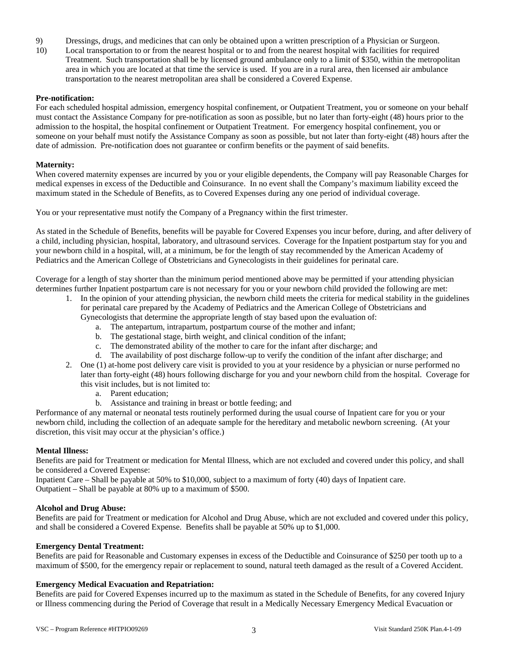- 9) Dressings, drugs, and medicines that can only be obtained upon a written prescription of a Physician or Surgeon.
- 10) Local transportation to or from the nearest hospital or to and from the nearest hospital with facilities for required Treatment. Such transportation shall be by licensed ground ambulance only to a limit of \$350, within the metropolitan area in which you are located at that time the service is used. If you are in a rural area, then licensed air ambulance transportation to the nearest metropolitan area shall be considered a Covered Expense.

### **Pre-notification:**

For each scheduled hospital admission, emergency hospital confinement, or Outpatient Treatment, you or someone on your behalf must contact the Assistance Company for pre-notification as soon as possible, but no later than forty-eight (48) hours prior to the admission to the hospital, the hospital confinement or Outpatient Treatment. For emergency hospital confinement, you or someone on your behalf must notify the Assistance Company as soon as possible, but not later than forty-eight (48) hours after the date of admission. Pre-notification does not guarantee or confirm benefits or the payment of said benefits.

### **Maternity:**

When covered maternity expenses are incurred by you or your eligible dependents, the Company will pay Reasonable Charges for medical expenses in excess of the Deductible and Coinsurance. In no event shall the Company's maximum liability exceed the maximum stated in the Schedule of Benefits, as to Covered Expenses during any one period of individual coverage.

You or your representative must notify the Company of a Pregnancy within the first trimester.

As stated in the Schedule of Benefits, benefits will be payable for Covered Expenses you incur before, during, and after delivery of a child, including physician, hospital, laboratory, and ultrasound services. Coverage for the Inpatient postpartum stay for you and your newborn child in a hospital, will, at a minimum, be for the length of stay recommended by the American Academy of Pediatrics and the American College of Obstetricians and Gynecologists in their guidelines for perinatal care.

Coverage for a length of stay shorter than the minimum period mentioned above may be permitted if your attending physician determines further Inpatient postpartum care is not necessary for you or your newborn child provided the following are met:

- 1. In the opinion of your attending physician, the newborn child meets the criteria for medical stability in the guidelines for perinatal care prepared by the Academy of Pediatrics and the American College of Obstetricians and
	- Gynecologists that determine the appropriate length of stay based upon the evaluation of:
		- a. The antepartum, intrapartum, postpartum course of the mother and infant;
		- b. The gestational stage, birth weight, and clinical condition of the infant;
		- c. The demonstrated ability of the mother to care for the infant after discharge; and
		- d. The availability of post discharge follow-up to verify the condition of the infant after discharge; and
- 2. One (1) at-home post delivery care visit is provided to you at your residence by a physician or nurse performed no later than forty-eight (48) hours following discharge for you and your newborn child from the hospital. Coverage for this visit includes, but is not limited to:
	- a. Parent education;
	- b. Assistance and training in breast or bottle feeding; and

Performance of any maternal or neonatal tests routinely performed during the usual course of Inpatient care for you or your newborn child, including the collection of an adequate sample for the hereditary and metabolic newborn screening. (At your discretion, this visit may occur at the physician's office.)

### **Mental Illness:**

Benefits are paid for Treatment or medication for Mental Illness, which are not excluded and covered under this policy, and shall be considered a Covered Expense:

Inpatient Care – Shall be payable at 50% to \$10,000, subject to a maximum of forty (40) days of Inpatient care. Outpatient – Shall be payable at 80% up to a maximum of \$500.

### **Alcohol and Drug Abuse:**

Benefits are paid for Treatment or medication for Alcohol and Drug Abuse, which are not excluded and covered under this policy, and shall be considered a Covered Expense. Benefits shall be payable at 50% up to \$1,000.

## **Emergency Dental Treatment:**

Benefits are paid for Reasonable and Customary expenses in excess of the Deductible and Coinsurance of \$250 per tooth up to a maximum of \$500, for the emergency repair or replacement to sound, natural teeth damaged as the result of a Covered Accident.

### **Emergency Medical Evacuation and Repatriation:**

Benefits are paid for Covered Expenses incurred up to the maximum as stated in the Schedule of Benefits, for any covered Injury or Illness commencing during the Period of Coverage that result in a Medically Necessary Emergency Medical Evacuation or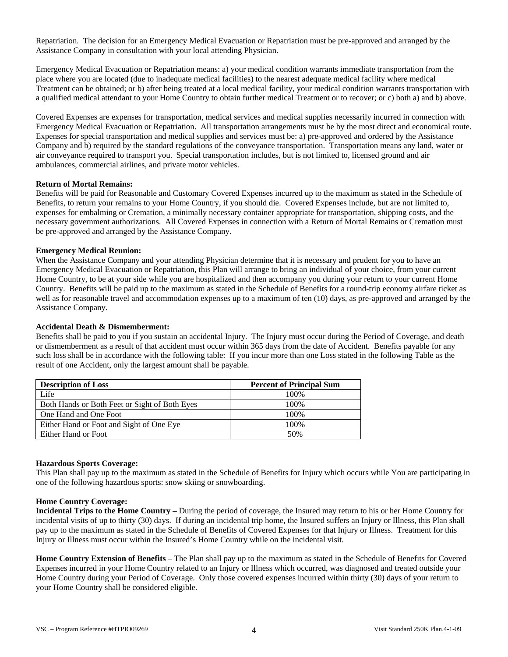Repatriation. The decision for an Emergency Medical Evacuation or Repatriation must be pre-approved and arranged by the Assistance Company in consultation with your local attending Physician.

Emergency Medical Evacuation or Repatriation means: a) your medical condition warrants immediate transportation from the place where you are located (due to inadequate medical facilities) to the nearest adequate medical facility where medical Treatment can be obtained; or b) after being treated at a local medical facility, your medical condition warrants transportation with a qualified medical attendant to your Home Country to obtain further medical Treatment or to recover; or c) both a) and b) above.

Covered Expenses are expenses for transportation, medical services and medical supplies necessarily incurred in connection with Emergency Medical Evacuation or Repatriation. All transportation arrangements must be by the most direct and economical route. Expenses for special transportation and medical supplies and services must be: a) pre-approved and ordered by the Assistance Company and b) required by the standard regulations of the conveyance transportation. Transportation means any land, water or air conveyance required to transport you. Special transportation includes, but is not limited to, licensed ground and air ambulances, commercial airlines, and private motor vehicles.

### **Return of Mortal Remains:**

Benefits will be paid for Reasonable and Customary Covered Expenses incurred up to the maximum as stated in the Schedule of Benefits, to return your remains to your Home Country, if you should die. Covered Expenses include, but are not limited to, expenses for embalming or Cremation, a minimally necessary container appropriate for transportation, shipping costs, and the necessary government authorizations. All Covered Expenses in connection with a Return of Mortal Remains or Cremation must be pre-approved and arranged by the Assistance Company.

### **Emergency Medical Reunion:**

When the Assistance Company and your attending Physician determine that it is necessary and prudent for you to have an Emergency Medical Evacuation or Repatriation, this Plan will arrange to bring an individual of your choice, from your current Home Country, to be at your side while you are hospitalized and then accompany you during your return to your current Home Country. Benefits will be paid up to the maximum as stated in the Schedule of Benefits for a round-trip economy airfare ticket as well as for reasonable travel and accommodation expenses up to a maximum of ten (10) days, as pre-approved and arranged by the Assistance Company.

### **Accidental Death & Dismemberment:**

Benefits shall be paid to you if you sustain an accidental Injury. The Injury must occur during the Period of Coverage, and death or dismemberment as a result of that accident must occur within 365 days from the date of Accident. Benefits payable for any such loss shall be in accordance with the following table: If you incur more than one Loss stated in the following Table as the result of one Accident, only the largest amount shall be payable.

| <b>Description of Loss</b>                    | <b>Percent of Principal Sum</b> |  |  |
|-----------------------------------------------|---------------------------------|--|--|
| Life                                          | 100\%                           |  |  |
| Both Hands or Both Feet or Sight of Both Eyes | 100\%                           |  |  |
| One Hand and One Foot                         | 100\%                           |  |  |
| Either Hand or Foot and Sight of One Eye      | 100%                            |  |  |
| Either Hand or Foot                           | 50%                             |  |  |

### **Hazardous Sports Coverage:**

This Plan shall pay up to the maximum as stated in the Schedule of Benefits for Injury which occurs while You are participating in one of the following hazardous sports: snow skiing or snowboarding.

### **Home Country Coverage:**

**Incidental Trips to the Home Country –** During the period of coverage, the Insured may return to his or her Home Country for incidental visits of up to thirty (30) days. If during an incidental trip home, the Insured suffers an Injury or Illness, this Plan shall pay up to the maximum as stated in the Schedule of Benefits of Covered Expenses for that Injury or Illness. Treatment for this Injury or Illness must occur within the Insured's Home Country while on the incidental visit.

**Home Country Extension of Benefits –** The Plan shall pay up to the maximum as stated in the Schedule of Benefits for Covered Expenses incurred in your Home Country related to an Injury or Illness which occurred, was diagnosed and treated outside your Home Country during your Period of Coverage. Only those covered expenses incurred within thirty (30) days of your return to your Home Country shall be considered eligible.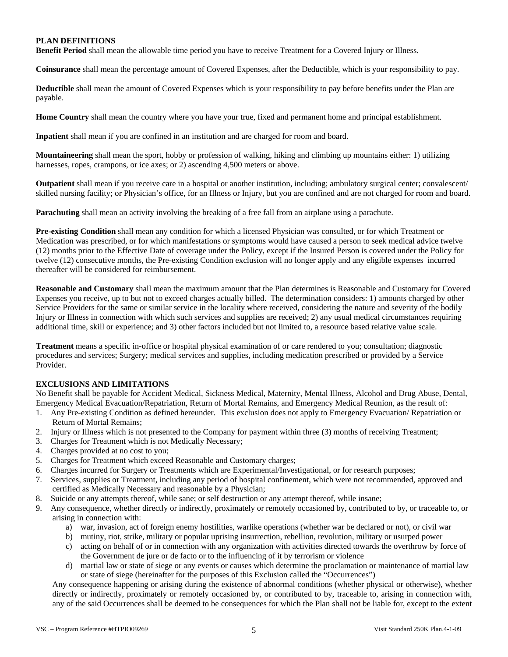## **PLAN DEFINITIONS**

**Benefit Period** shall mean the allowable time period you have to receive Treatment for a Covered Injury or Illness.

**Coinsurance** shall mean the percentage amount of Covered Expenses, after the Deductible, which is your responsibility to pay.

**Deductible** shall mean the amount of Covered Expenses which is your responsibility to pay before benefits under the Plan are payable.

**Home Country** shall mean the country where you have your true, fixed and permanent home and principal establishment.

**Inpatient** shall mean if you are confined in an institution and are charged for room and board.

**Mountaineering** shall mean the sport, hobby or profession of walking, hiking and climbing up mountains either: 1) utilizing harnesses, ropes, crampons, or ice axes; or 2) ascending 4,500 meters or above.

**Outpatient** shall mean if you receive care in a hospital or another institution, including; ambulatory surgical center; convalescent/ skilled nursing facility; or Physician's office, for an Illness or Injury, but you are confined and are not charged for room and board.

**Parachuting** shall mean an activity involving the breaking of a free fall from an airplane using a parachute.

**Pre-existing Condition** shall mean any condition for which a licensed Physician was consulted, or for which Treatment or Medication was prescribed, or for which manifestations or symptoms would have caused a person to seek medical advice twelve (12) months prior to the Effective Date of coverage under the Policy, except if the Insured Person is covered under the Policy for twelve (12) consecutive months, the Pre-existing Condition exclusion will no longer apply and any eligible expenses incurred thereafter will be considered for reimbursement.

**Reasonable and Customary** shall mean the maximum amount that the Plan determines is Reasonable and Customary for Covered Expenses you receive, up to but not to exceed charges actually billed. The determination considers: 1) amounts charged by other Service Providers for the same or similar service in the locality where received, considering the nature and severity of the bodily Injury or Illness in connection with which such services and supplies are received; 2) any usual medical circumstances requiring additional time, skill or experience; and 3) other factors included but not limited to, a resource based relative value scale.

**Treatment** means a specific in-office or hospital physical examination of or care rendered to you; consultation; diagnostic procedures and services; Surgery; medical services and supplies, including medication prescribed or provided by a Service Provider.

## **EXCLUSIONS AND LIMITATIONS**

No Benefit shall be payable for Accident Medical, Sickness Medical, Maternity, Mental Illness, Alcohol and Drug Abuse, Dental, Emergency Medical Evacuation/Repatriation, Return of Mortal Remains, and Emergency Medical Reunion, as the result of:

- 1. Any Pre-existing Condition as defined hereunder. This exclusion does not apply to Emergency Evacuation/ Repatriation or Return of Mortal Remains;
- 2. Injury or Illness which is not presented to the Company for payment within three (3) months of receiving Treatment;
- 3. Charges for Treatment which is not Medically Necessary;
- 4. Charges provided at no cost to you;
- 5. Charges for Treatment which exceed Reasonable and Customary charges;
- 6. Charges incurred for Surgery or Treatments which are Experimental/Investigational, or for research purposes;
- 7. Services, supplies or Treatment, including any period of hospital confinement, which were not recommended, approved and certified as Medically Necessary and reasonable by a Physician;
- 8. Suicide or any attempts thereof, while sane; or self destruction or any attempt thereof, while insane;
- 9. Any consequence, whether directly or indirectly, proximately or remotely occasioned by, contributed to by, or traceable to, or arising in connection with:
	- a) war, invasion, act of foreign enemy hostilities, warlike operations (whether war be declared or not), or civil war
	- b) mutiny, riot, strike, military or popular uprising insurrection, rebellion, revolution, military or usurped power
	- c) acting on behalf of or in connection with any organization with activities directed towards the overthrow by force of the Government de jure or de facto or to the influencing of it by terrorism or violence
	- d) martial law or state of siege or any events or causes which determine the proclamation or maintenance of martial law or state of siege (hereinafter for the purposes of this Exclusion called the "Occurrences")

Any consequence happening or arising during the existence of abnormal conditions (whether physical or otherwise), whether directly or indirectly, proximately or remotely occasioned by, or contributed to by, traceable to, arising in connection with, any of the said Occurrences shall be deemed to be consequences for which the Plan shall not be liable for, except to the extent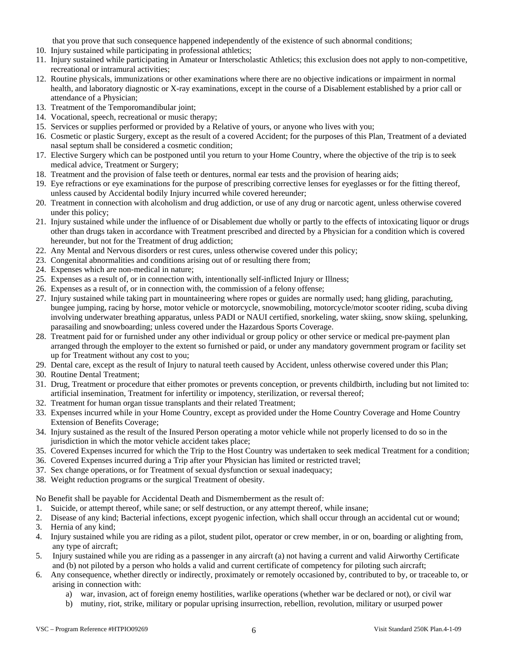that you prove that such consequence happened independently of the existence of such abnormal conditions;

- 10. Injury sustained while participating in professional athletics;
- 11. Injury sustained while participating in Amateur or Interscholastic Athletics; this exclusion does not apply to non-competitive, recreational or intramural activities;
- 12. Routine physicals, immunizations or other examinations where there are no objective indications or impairment in normal health, and laboratory diagnostic or X-ray examinations, except in the course of a Disablement established by a prior call or attendance of a Physician;
- 13. Treatment of the Temporomandibular joint;
- 14. Vocational, speech, recreational or music therapy;
- 15. Services or supplies performed or provided by a Relative of yours, or anyone who lives with you;
- 16. Cosmetic or plastic Surgery, except as the result of a covered Accident; for the purposes of this Plan, Treatment of a deviated nasal septum shall be considered a cosmetic condition;
- 17. Elective Surgery which can be postponed until you return to your Home Country, where the objective of the trip is to seek medical advice, Treatment or Surgery;
- 18. Treatment and the provision of false teeth or dentures, normal ear tests and the provision of hearing aids;
- 19. Eye refractions or eye examinations for the purpose of prescribing corrective lenses for eyeglasses or for the fitting thereof, unless caused by Accidental bodily Injury incurred while covered hereunder;
- 20. Treatment in connection with alcoholism and drug addiction, or use of any drug or narcotic agent, unless otherwise covered under this policy;
- 21. Injury sustained while under the influence of or Disablement due wholly or partly to the effects of intoxicating liquor or drugs other than drugs taken in accordance with Treatment prescribed and directed by a Physician for a condition which is covered hereunder, but not for the Treatment of drug addiction;
- 22. Any Mental and Nervous disorders or rest cures, unless otherwise covered under this policy;
- 23. Congenital abnormalities and conditions arising out of or resulting there from;
- 24. Expenses which are non-medical in nature;
- 25. Expenses as a result of, or in connection with, intentionally self-inflicted Injury or Illness;
- 26. Expenses as a result of, or in connection with, the commission of a felony offense;
- 27. Injury sustained while taking part in mountaineering where ropes or guides are normally used; hang gliding, parachuting, bungee jumping, racing by horse, motor vehicle or motorcycle, snowmobiling, motorcycle/motor scooter riding, scuba diving involving underwater breathing apparatus, unless PADI or NAUI certified, snorkeling, water skiing, snow skiing, spelunking, parasailing and snowboarding; unless covered under the Hazardous Sports Coverage.
- 28. Treatment paid for or furnished under any other individual or group policy or other service or medical pre-payment plan arranged through the employer to the extent so furnished or paid, or under any mandatory government program or facility set up for Treatment without any cost to you;
- 29. Dental care, except as the result of Injury to natural teeth caused by Accident, unless otherwise covered under this Plan;
- 30. Routine Dental Treatment;
- 31. Drug, Treatment or procedure that either promotes or prevents conception, or prevents childbirth, including but not limited to: artificial insemination, Treatment for infertility or impotency, sterilization, or reversal thereof;
- 32. Treatment for human organ tissue transplants and their related Treatment;
- 33. Expenses incurred while in your Home Country, except as provided under the Home Country Coverage and Home Country Extension of Benefits Coverage;
- 34. Injury sustained as the result of the Insured Person operating a motor vehicle while not properly licensed to do so in the jurisdiction in which the motor vehicle accident takes place;
- 35. Covered Expenses incurred for which the Trip to the Host Country was undertaken to seek medical Treatment for a condition;
- 36. Covered Expenses incurred during a Trip after your Physician has limited or restricted travel;
- 37. Sex change operations, or for Treatment of sexual dysfunction or sexual inadequacy;
- 38. Weight reduction programs or the surgical Treatment of obesity.

No Benefit shall be payable for Accidental Death and Dismemberment as the result of:

- 1. Suicide, or attempt thereof, while sane; or self destruction, or any attempt thereof, while insane;
- 2. Disease of any kind; Bacterial infections, except pyogenic infection, which shall occur through an accidental cut or wound;
- 3. Hernia of any kind;
- 4. Injury sustained while you are riding as a pilot, student pilot, operator or crew member, in or on, boarding or alighting from, any type of aircraft;
- 5. Injury sustained while you are riding as a passenger in any aircraft (a) not having a current and valid Airworthy Certificate and (b) not piloted by a person who holds a valid and current certificate of competency for piloting such aircraft;
- 6. Any consequence, whether directly or indirectly, proximately or remotely occasioned by, contributed to by, or traceable to, or arising in connection with:
	- a) war, invasion, act of foreign enemy hostilities, warlike operations (whether war be declared or not), or civil war
	- b) mutiny, riot, strike, military or popular uprising insurrection, rebellion, revolution, military or usurped power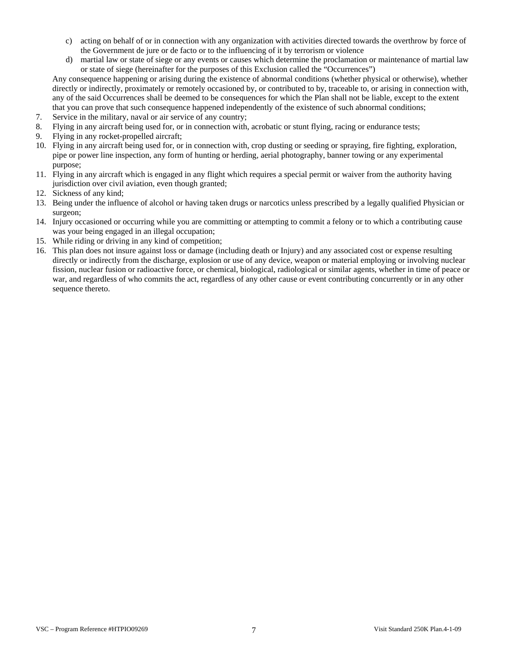- c) acting on behalf of or in connection with any organization with activities directed towards the overthrow by force of the Government de jure or de facto or to the influencing of it by terrorism or violence
- d) martial law or state of siege or any events or causes which determine the proclamation or maintenance of martial law or state of siege (hereinafter for the purposes of this Exclusion called the "Occurrences")

Any consequence happening or arising during the existence of abnormal conditions (whether physical or otherwise), whether directly or indirectly, proximately or remotely occasioned by, or contributed to by, traceable to, or arising in connection with, any of the said Occurrences shall be deemed to be consequences for which the Plan shall not be liable, except to the extent that you can prove that such consequence happened independently of the existence of such abnormal conditions;

- 7. Service in the military, naval or air service of any country;
- 8. Flying in any aircraft being used for, or in connection with, acrobatic or stunt flying, racing or endurance tests;
- 9. Flying in any rocket-propelled aircraft;
- 10. Flying in any aircraft being used for, or in connection with, crop dusting or seeding or spraying, fire fighting, exploration, pipe or power line inspection, any form of hunting or herding, aerial photography, banner towing or any experimental purpose;
- 11. Flying in any aircraft which is engaged in any flight which requires a special permit or waiver from the authority having jurisdiction over civil aviation, even though granted;
- 12. Sickness of any kind;
- 13. Being under the influence of alcohol or having taken drugs or narcotics unless prescribed by a legally qualified Physician or surgeon;
- 14. Injury occasioned or occurring while you are committing or attempting to commit a felony or to which a contributing cause was your being engaged in an illegal occupation;
- 15. While riding or driving in any kind of competition;
- 16. This plan does not insure against loss or damage (including death or Injury) and any associated cost or expense resulting directly or indirectly from the discharge, explosion or use of any device, weapon or material employing or involving nuclear fission, nuclear fusion or radioactive force, or chemical, biological, radiological or similar agents, whether in time of peace or war, and regardless of who commits the act, regardless of any other cause or event contributing concurrently or in any other sequence thereto.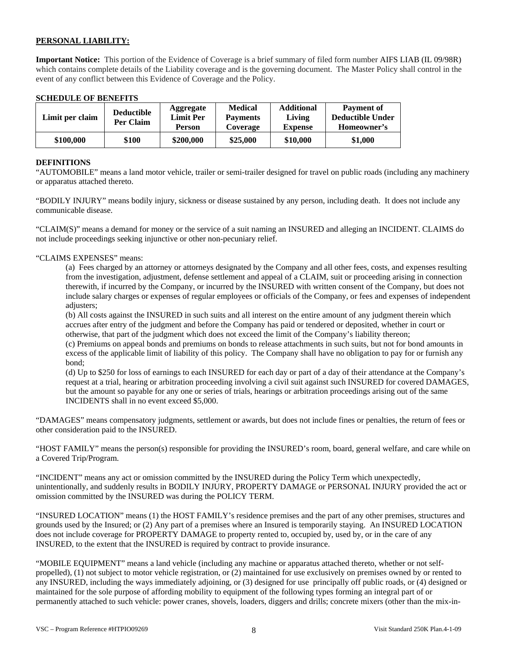## **PERSONAL LIABILITY:**

**Important Notice:** This portion of the Evidence of Coverage is a brief summary of filed form number AIFS LIAB (IL 09/98R) which contains complete details of the Liability coverage and is the governing document. The Master Policy shall control in the event of any conflict between this Evidence of Coverage and the Policy.

### **SCHEDULE OF BENEFITS**

| Limit per claim | <b>Deductible</b><br>Per Claim | <b>Aggregate</b><br><b>Limit Per</b><br><b>Person</b> | <b>Medical</b><br><b>Payments</b><br>Coverage | <b>Additional</b><br>Living<br><b>Expense</b> | <b>Payment of</b><br><b>Deductible Under</b><br>Homeowner's |
|-----------------|--------------------------------|-------------------------------------------------------|-----------------------------------------------|-----------------------------------------------|-------------------------------------------------------------|
| \$100,000       | \$100                          | \$200,000                                             | \$25,000                                      | \$10,000                                      | \$1,000                                                     |

### **DEFINITIONS**

"AUTOMOBILE" means a land motor vehicle, trailer or semi-trailer designed for travel on public roads (including any machinery or apparatus attached thereto.

"BODILY INJURY" means bodily injury, sickness or disease sustained by any person, including death. It does not include any communicable disease.

"CLAIM(S)" means a demand for money or the service of a suit naming an INSURED and alleging an INCIDENT. CLAIMS do not include proceedings seeking injunctive or other non-pecuniary relief.

### "CLAIMS EXPENSES" means:

(a) Fees charged by an attorney or attorneys designated by the Company and all other fees, costs, and expenses resulting from the investigation, adjustment, defense settlement and appeal of a CLAIM, suit or proceeding arising in connection therewith, if incurred by the Company, or incurred by the INSURED with written consent of the Company, but does not include salary charges or expenses of regular employees or officials of the Company, or fees and expenses of independent adjusters;

(b) All costs against the INSURED in such suits and all interest on the entire amount of any judgment therein which accrues after entry of the judgment and before the Company has paid or tendered or deposited, whether in court or otherwise, that part of the judgment which does not exceed the limit of the Company's liability thereon;

(c) Premiums on appeal bonds and premiums on bonds to release attachments in such suits, but not for bond amounts in excess of the applicable limit of liability of this policy. The Company shall have no obligation to pay for or furnish any bond;

(d) Up to \$250 for loss of earnings to each INSURED for each day or part of a day of their attendance at the Company's request at a trial, hearing or arbitration proceeding involving a civil suit against such INSURED for covered DAMAGES, but the amount so payable for any one or series of trials, hearings or arbitration proceedings arising out of the same INCIDENTS shall in no event exceed \$5,000.

"DAMAGES" means compensatory judgments, settlement or awards, but does not include fines or penalties, the return of fees or other consideration paid to the INSURED.

"HOST FAMILY" means the person(s) responsible for providing the INSURED's room, board, general welfare, and care while on a Covered Trip/Program.

"INCIDENT" means any act or omission committed by the INSURED during the Policy Term which unexpectedly, unintentionally, and suddenly results in BODILY INJURY, PROPERTY DAMAGE or PERSONAL INJURY provided the act or omission committed by the INSURED was during the POLICY TERM.

"INSURED LOCATION" means (1) the HOST FAMILY's residence premises and the part of any other premises, structures and grounds used by the Insured; or (2) Any part of a premises where an Insured is temporarily staying. An INSURED LOCATION does not include coverage for PROPERTY DAMAGE to property rented to, occupied by, used by, or in the care of any INSURED, to the extent that the INSURED is required by contract to provide insurance.

"MOBILE EQUIPMENT" means a land vehicle (including any machine or apparatus attached thereto, whether or not selfpropelled), (1) not subject to motor vehicle registration, or (2) maintained for use exclusively on premises owned by or rented to any INSURED, including the ways immediately adjoining, or (3) designed for use principally off public roads, or (4) designed or maintained for the sole purpose of affording mobility to equipment of the following types forming an integral part of or permanently attached to such vehicle: power cranes, shovels, loaders, diggers and drills; concrete mixers (other than the mix-in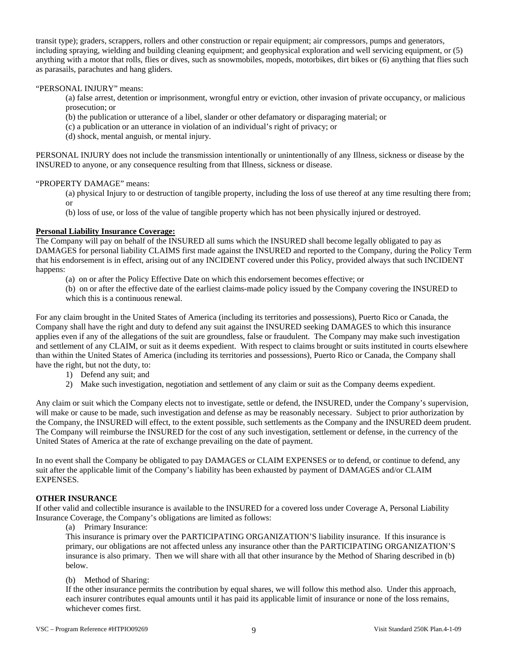transit type); graders, scrappers, rollers and other construction or repair equipment; air compressors, pumps and generators, including spraying, wielding and building cleaning equipment; and geophysical exploration and well servicing equipment, or (5) anything with a motor that rolls, flies or dives, such as snowmobiles, mopeds, motorbikes, dirt bikes or (6) anything that flies such as parasails, parachutes and hang gliders.

## "PERSONAL INJURY" means:

(a) false arrest, detention or imprisonment, wrongful entry or eviction, other invasion of private occupancy, or malicious prosecution; or

(b) the publication or utterance of a libel, slander or other defamatory or disparaging material; or

(c) a publication or an utterance in violation of an individual's right of privacy; or

(d) shock, mental anguish, or mental injury.

PERSONAL INJURY does not include the transmission intentionally or unintentionally of any Illness, sickness or disease by the INSURED to anyone, or any consequence resulting from that Illness, sickness or disease.

### "PROPERTY DAMAGE" means:

(a) physical Injury to or destruction of tangible property, including the loss of use thereof at any time resulting there from; or

(b) loss of use, or loss of the value of tangible property which has not been physically injured or destroyed.

### **Personal Liability Insurance Coverage:**

The Company will pay on behalf of the INSURED all sums which the INSURED shall become legally obligated to pay as DAMAGES for personal liability CLAIMS first made against the INSURED and reported to the Company, during the Policy Term that his endorsement is in effect, arising out of any INCIDENT covered under this Policy, provided always that such INCIDENT happens:

(a) on or after the Policy Effective Date on which this endorsement becomes effective; or

(b) on or after the effective date of the earliest claims-made policy issued by the Company covering the INSURED to which this is a continuous renewal.

For any claim brought in the United States of America (including its territories and possessions), Puerto Rico or Canada, the Company shall have the right and duty to defend any suit against the INSURED seeking DAMAGES to which this insurance applies even if any of the allegations of the suit are groundless, false or fraudulent. The Company may make such investigation and settlement of any CLAIM, or suit as it deems expedient. With respect to claims brought or suits instituted in courts elsewhere than within the United States of America (including its territories and possessions), Puerto Rico or Canada, the Company shall have the right, but not the duty, to:

- 1) Defend any suit; and
- 2) Make such investigation, negotiation and settlement of any claim or suit as the Company deems expedient.

Any claim or suit which the Company elects not to investigate, settle or defend, the INSURED, under the Company's supervision, will make or cause to be made, such investigation and defense as may be reasonably necessary. Subject to prior authorization by the Company, the INSURED will effect, to the extent possible, such settlements as the Company and the INSURED deem prudent. The Company will reimburse the INSURED for the cost of any such investigation, settlement or defense, in the currency of the United States of America at the rate of exchange prevailing on the date of payment.

In no event shall the Company be obligated to pay DAMAGES or CLAIM EXPENSES or to defend, or continue to defend, any suit after the applicable limit of the Company's liability has been exhausted by payment of DAMAGES and/or CLAIM EXPENSES.

## **OTHER INSURANCE**

If other valid and collectible insurance is available to the INSURED for a covered loss under Coverage A, Personal Liability Insurance Coverage, the Company's obligations are limited as follows:

(a) Primary Insurance:

This insurance is primary over the PARTICIPATING ORGANIZATION'S liability insurance. If this insurance is primary, our obligations are not affected unless any insurance other than the PARTICIPATING ORGANIZATION'S insurance is also primary. Then we will share with all that other insurance by the Method of Sharing described in (b) below.

## (b) Method of Sharing:

If the other insurance permits the contribution by equal shares, we will follow this method also. Under this approach, each insurer contributes equal amounts until it has paid its applicable limit of insurance or none of the loss remains, whichever comes first.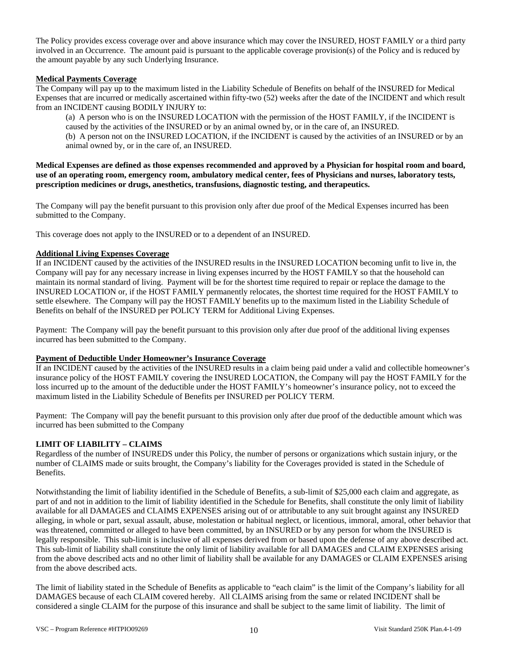The Policy provides excess coverage over and above insurance which may cover the INSURED, HOST FAMILY or a third party involved in an Occurrence. The amount paid is pursuant to the applicable coverage provision(s) of the Policy and is reduced by the amount payable by any such Underlying Insurance.

### **Medical Payments Coverage**

The Company will pay up to the maximum listed in the Liability Schedule of Benefits on behalf of the INSURED for Medical Expenses that are incurred or medically ascertained within fifty-two (52) weeks after the date of the INCIDENT and which result from an INCIDENT causing BODILY INJURY to:

(a) A person who is on the INSURED LOCATION with the permission of the HOST FAMILY, if the INCIDENT is caused by the activities of the INSURED or by an animal owned by, or in the care of, an INSURED. (b) A person not on the INSURED LOCATION, if the INCIDENT is caused by the activities of an INSURED or by an animal owned by, or in the care of, an INSURED.

**Medical Expenses are defined as those expenses recommended and approved by a Physician for hospital room and board, use of an operating room, emergency room, ambulatory medical center, fees of Physicians and nurses, laboratory tests, prescription medicines or drugs, anesthetics, transfusions, diagnostic testing, and therapeutics.** 

The Company will pay the benefit pursuant to this provision only after due proof of the Medical Expenses incurred has been submitted to the Company.

This coverage does not apply to the INSURED or to a dependent of an INSURED.

## **Additional Living Expenses Coverage**

If an INCIDENT caused by the activities of the INSURED results in the INSURED LOCATION becoming unfit to live in, the Company will pay for any necessary increase in living expenses incurred by the HOST FAMILY so that the household can maintain its normal standard of living. Payment will be for the shortest time required to repair or replace the damage to the INSURED LOCATION or, if the HOST FAMILY permanently relocates, the shortest time required for the HOST FAMILY to settle elsewhere. The Company will pay the HOST FAMILY benefits up to the maximum listed in the Liability Schedule of Benefits on behalf of the INSURED per POLICY TERM for Additional Living Expenses.

Payment: The Company will pay the benefit pursuant to this provision only after due proof of the additional living expenses incurred has been submitted to the Company.

### **Payment of Deductible Under Homeowner's Insurance Coverage**

If an INCIDENT caused by the activities of the INSURED results in a claim being paid under a valid and collectible homeowner's insurance policy of the HOST FAMILY covering the INSURED LOCATION, the Company will pay the HOST FAMILY for the loss incurred up to the amount of the deductible under the HOST FAMILY's homeowner's insurance policy, not to exceed the maximum listed in the Liability Schedule of Benefits per INSURED per POLICY TERM.

Payment: The Company will pay the benefit pursuant to this provision only after due proof of the deductible amount which was incurred has been submitted to the Company

## **LIMIT OF LIABILITY – CLAIMS**

Regardless of the number of INSUREDS under this Policy, the number of persons or organizations which sustain injury, or the number of CLAIMS made or suits brought, the Company's liability for the Coverages provided is stated in the Schedule of Benefits.

Notwithstanding the limit of liability identified in the Schedule of Benefits, a sub-limit of \$25,000 each claim and aggregate, as part of and not in addition to the limit of liability identified in the Schedule for Benefits, shall constitute the only limit of liability available for all DAMAGES and CLAIMS EXPENSES arising out of or attributable to any suit brought against any INSURED alleging, in whole or part, sexual assault, abuse, molestation or habitual neglect, or licentious, immoral, amoral, other behavior that was threatened, committed or alleged to have been committed, by an INSURED or by any person for whom the INSURED is legally responsible. This sub-limit is inclusive of all expenses derived from or based upon the defense of any above described act. This sub-limit of liability shall constitute the only limit of liability available for all DAMAGES and CLAIM EXPENSES arising from the above described acts and no other limit of liability shall be available for any DAMAGES or CLAIM EXPENSES arising from the above described acts.

The limit of liability stated in the Schedule of Benefits as applicable to "each claim" is the limit of the Company's liability for all DAMAGES because of each CLAIM covered hereby. All CLAIMS arising from the same or related INCIDENT shall be considered a single CLAIM for the purpose of this insurance and shall be subject to the same limit of liability. The limit of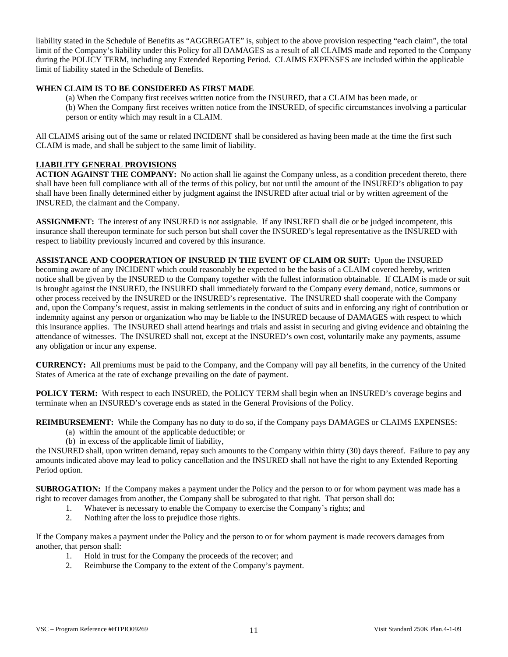liability stated in the Schedule of Benefits as "AGGREGATE" is, subject to the above provision respecting "each claim", the total limit of the Company's liability under this Policy for all DAMAGES as a result of all CLAIMS made and reported to the Company during the POLICY TERM, including any Extended Reporting Period. CLAIMS EXPENSES are included within the applicable limit of liability stated in the Schedule of Benefits.

## **WHEN CLAIM IS TO BE CONSIDERED AS FIRST MADE**

(a) When the Company first receives written notice from the INSURED, that a CLAIM has been made, or (b) When the Company first receives written notice from the INSURED, of specific circumstances involving a particular person or entity which may result in a CLAIM.

All CLAIMS arising out of the same or related INCIDENT shall be considered as having been made at the time the first such CLAIM is made, and shall be subject to the same limit of liability.

## **LIABILITY GENERAL PROVISIONS**

**ACTION AGAINST THE COMPANY:** No action shall lie against the Company unless, as a condition precedent thereto, there shall have been full compliance with all of the terms of this policy, but not until the amount of the INSURED's obligation to pay shall have been finally determined either by judgment against the INSURED after actual trial or by written agreement of the INSURED, the claimant and the Company.

**ASSIGNMENT:** The interest of any INSURED is not assignable. If any INSURED shall die or be judged incompetent, this insurance shall thereupon terminate for such person but shall cover the INSURED's legal representative as the INSURED with respect to liability previously incurred and covered by this insurance.

**ASSISTANCE AND COOPERATION OF INSURED IN THE EVENT OF CLAIM OR SUIT:** Upon the INSURED becoming aware of any INCIDENT which could reasonably be expected to be the basis of a CLAIM covered hereby, written notice shall be given by the INSURED to the Company together with the fullest information obtainable. If CLAIM is made or suit is brought against the INSURED, the INSURED shall immediately forward to the Company every demand, notice, summons or other process received by the INSURED or the INSURED's representative. The INSURED shall cooperate with the Company and, upon the Company's request, assist in making settlements in the conduct of suits and in enforcing any right of contribution or indemnity against any person or organization who may be liable to the INSURED because of DAMAGES with respect to which this insurance applies. The INSURED shall attend hearings and trials and assist in securing and giving evidence and obtaining the attendance of witnesses. The INSURED shall not, except at the INSURED's own cost, voluntarily make any payments, assume any obligation or incur any expense.

**CURRENCY:** All premiums must be paid to the Company, and the Company will pay all benefits, in the currency of the United States of America at the rate of exchange prevailing on the date of payment.

**POLICY TERM:** With respect to each INSURED, the POLICY TERM shall begin when an INSURED's coverage begins and terminate when an INSURED's coverage ends as stated in the General Provisions of the Policy.

**REIMBURSEMENT:** While the Company has no duty to do so, if the Company pays DAMAGES or CLAIMS EXPENSES:

- (a) within the amount of the applicable deductible; or
- (b) in excess of the applicable limit of liability,

the INSURED shall, upon written demand, repay such amounts to the Company within thirty (30) days thereof. Failure to pay any amounts indicated above may lead to policy cancellation and the INSURED shall not have the right to any Extended Reporting Period option.

**SUBROGATION:** If the Company makes a payment under the Policy and the person to or for whom payment was made has a right to recover damages from another, the Company shall be subrogated to that right. That person shall do:

- 1. Whatever is necessary to enable the Company to exercise the Company's rights; and
- 2. Nothing after the loss to prejudice those rights.

If the Company makes a payment under the Policy and the person to or for whom payment is made recovers damages from another, that person shall:

- 1. Hold in trust for the Company the proceeds of the recover; and
- 2. Reimburse the Company to the extent of the Company's payment.